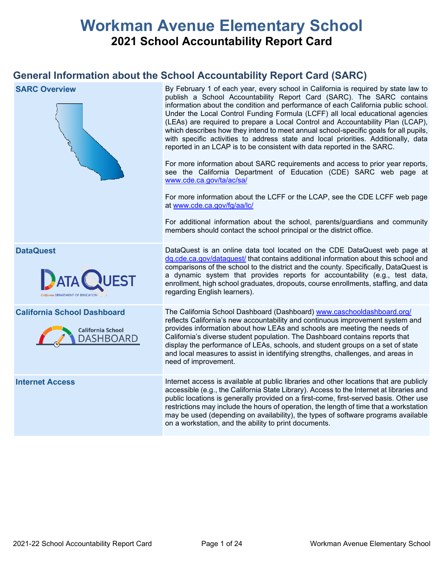# **Workman Avenue Elementary School 2021 School Accountability Report Card**

# **General Information about the School Accountability Report Card (SARC)**

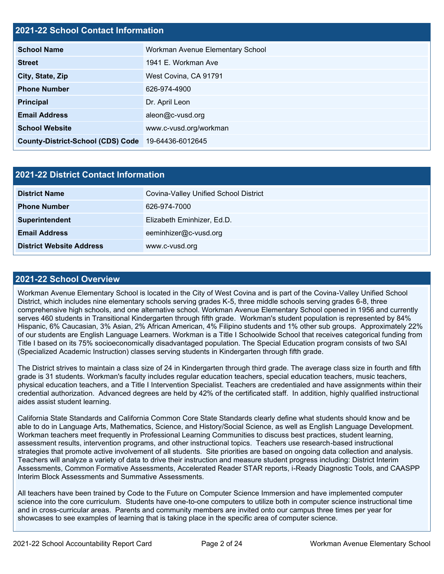# **2021-22 School Contact Information**

| <b>School Name</b>                       | Workman Avenue Elementary School |  |  |  |
|------------------------------------------|----------------------------------|--|--|--|
| <b>Street</b>                            | 1941 E. Workman Ave              |  |  |  |
| City, State, Zip                         | West Covina, CA 91791            |  |  |  |
| <b>Phone Number</b>                      | 626-974-4900                     |  |  |  |
| <b>Principal</b>                         | Dr. April Leon                   |  |  |  |
| <b>Email Address</b>                     | aleon@c-vusd.org                 |  |  |  |
| <b>School Website</b>                    | www.c-vusd.org/workman           |  |  |  |
| <b>County-District-School (CDS) Code</b> | 19-64436-6012645                 |  |  |  |

| <b>2021-22 District Contact Information</b> |                                       |  |  |  |
|---------------------------------------------|---------------------------------------|--|--|--|
| <b>District Name</b>                        | Covina-Valley Unified School District |  |  |  |
| <b>Phone Number</b>                         | 626-974-7000                          |  |  |  |
| Superintendent                              | Elizabeth Eminhizer, Ed.D.            |  |  |  |
| <b>Email Address</b>                        | eeminhizer@c-vusd.org                 |  |  |  |
| <b>District Website Address</b>             | www.c-vusd.org                        |  |  |  |

### **2021-22 School Overview**

Workman Avenue Elementary School is located in the City of West Covina and is part of the Covina-Valley Unified School District, which includes nine elementary schools serving grades K-5, three middle schools serving grades 6-8, three comprehensive high schools, and one alternative school. Workman Avenue Elementary School opened in 1956 and currently serves 460 students in Transitional Kindergarten through fifth grade. Workman's student population is represented by 84% Hispanic, 6% Caucasian, 3% Asian, 2% African American, 4% Filipino students and 1% other sub groups. Approximately 22% of our students are English Language Learners. Workman is a Title I Schoolwide School that receives categorical funding from Title I based on its 75% socioeconomically disadvantaged population. The Special Education program consists of two SAI (Specialized Academic Instruction) classes serving students in Kindergarten through fifth grade.

The District strives to maintain a class size of 24 in Kindergarten through third grade. The average class size in fourth and fifth grade is 31 students. Workman's faculty includes regular education teachers, special education teachers, music teachers, physical education teachers, and a Title I Intervention Specialist. Teachers are credentialed and have assignments within their credential authorization. Advanced degrees are held by 42% of the certificated staff. In addition, highly qualified instructional aides assist student learning.

California State Standards and California Common Core State Standards clearly define what students should know and be able to do in Language Arts, Mathematics, Science, and History/Social Science, as well as English Language Development. Workman teachers meet frequently in Professional Learning Communities to discuss best practices, student learning, assessment results, intervention programs, and other instructional topics. Teachers use research-based instructional strategies that promote active involvement of all students. Site priorities are based on ongoing data collection and analysis. Teachers will analyze a variety of data to drive their instruction and measure student progress including: District Interim Assessments, Common Formative Assessments, Accelerated Reader STAR reports, i-Ready Diagnostic Tools, and CAASPP Interim Block Assessments and Summative Assessments.

All teachers have been trained by Code to the Future on Computer Science Immersion and have implemented computer science into the core curriculum. Students have one-to-one computers to utilize both in computer science instructional time and in cross-curricular areas. Parents and community members are invited onto our campus three times per year for showcases to see examples of learning that is taking place in the specific area of computer science.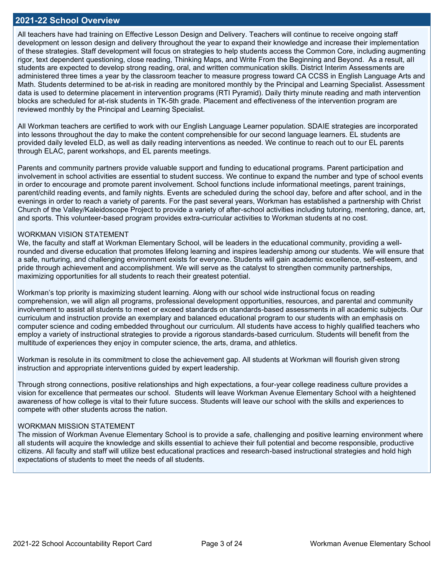### **2021-22 School Overview**

All teachers have had training on Effective Lesson Design and Delivery. Teachers will continue to receive ongoing staff development on lesson design and delivery throughout the year to expand their knowledge and increase their implementation of these strategies. Staff development will focus on strategies to help students access the Common Core, including augmenting rigor, text dependent questioning, close reading, Thinking Maps, and Write From the Beginning and Beyond. As a result, all students are expected to develop strong reading, oral, and written communication skills. District Interim Assessments are administered three times a year by the classroom teacher to measure progress toward CA CCSS in English Language Arts and Math. Students determined to be at-risk in reading are monitored monthly by the Principal and Learning Specialist. Assessment data is used to determine placement in intervention programs (RTI Pyramid). Daily thirty minute reading and math intervention blocks are scheduled for at-risk students in TK-5th grade. Placement and effectiveness of the intervention program are reviewed monthly by the Principal and Learning Specialist.

All Workman teachers are certified to work with our English Language Learner population. SDAIE strategies are incorporated into lessons throughout the day to make the content comprehensible for our second language learners. EL students are provided daily leveled ELD, as well as daily reading interventions as needed. We continue to reach out to our EL parents through ELAC, parent workshops, and EL parents meetings.

Parents and community partners provide valuable support and funding to educational programs. Parent participation and involvement in school activities are essential to student success. We continue to expand the number and type of school events in order to encourage and promote parent involvement. School functions include informational meetings, parent trainings, parent/child reading events, and family nights. Events are scheduled during the school day, before and after school, and in the evenings in order to reach a variety of parents. For the past several years, Workman has established a partnership with Christ Church of the Valley/Kaleidoscope Project to provide a variety of after-school activities including tutoring, mentoring, dance, art, and sports. This volunteer-based program provides extra-curricular activities to Workman students at no cost.

### WORKMAN VISION STATEMENT

We, the faculty and staff at Workman Elementary School, will be leaders in the educational community, providing a wellrounded and diverse education that promotes lifelong learning and inspires leadership among our students. We will ensure that a safe, nurturing, and challenging environment exists for everyone. Students will gain academic excellence, self-esteem, and pride through achievement and accomplishment. We will serve as the catalyst to strengthen community partnerships, maximizing opportunities for all students to reach their greatest potential.

Workman's top priority is maximizing student learning. Along with our school wide instructional focus on reading comprehension, we will align all programs, professional development opportunities, resources, and parental and community involvement to assist all students to meet or exceed standards on standards-based assessments in all academic subjects. Our curriculum and instruction provide an exemplary and balanced educational program to our students with an emphasis on computer science and coding embedded throughout our curriculum. All students have access to highly qualified teachers who employ a variety of instructional strategies to provide a rigorous standards-based curriculum. Students will benefit from the multitude of experiences they enjoy in computer science, the arts, drama, and athletics.

Workman is resolute in its commitment to close the achievement gap. All students at Workman will flourish given strong instruction and appropriate interventions guided by expert leadership.

Through strong connections, positive relationships and high expectations, a four-year college readiness culture provides a vision for excellence that permeates our school. Students will leave Workman Avenue Elementary School with a heightened awareness of how college is vital to their future success. Students will leave our school with the skills and experiences to compete with other students across the nation.

### WORKMAN MISSION STATEMENT

The mission of Workman Avenue Elementary School is to provide a safe, challenging and positive learning environment where all students will acquire the knowledge and skills essential to achieve their full potential and become responsible, productive citizens. All faculty and staff will utilize best educational practices and research-based instructional strategies and hold high expectations of students to meet the needs of all students.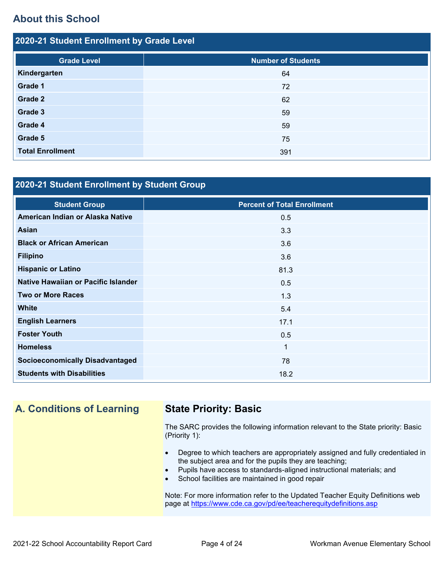# **About this School**

| 2020-21 Student Enrollment by Grade Level       |     |  |  |  |
|-------------------------------------------------|-----|--|--|--|
| <b>Number of Students</b><br><b>Grade Level</b> |     |  |  |  |
| Kindergarten                                    | 64  |  |  |  |
| Grade 1                                         | 72  |  |  |  |
| Grade 2                                         | 62  |  |  |  |
| Grade 3                                         | 59  |  |  |  |
| Grade 4                                         | 59  |  |  |  |
| Grade 5                                         | 75  |  |  |  |
| <b>Total Enrollment</b>                         | 391 |  |  |  |

# **2020-21 Student Enrollment by Student Group**

| <b>Student Group</b>                   | <b>Percent of Total Enrollment</b> |
|----------------------------------------|------------------------------------|
| American Indian or Alaska Native       | 0.5                                |
| Asian                                  | 3.3                                |
| <b>Black or African American</b>       | 3.6                                |
| <b>Filipino</b>                        | 3.6                                |
| <b>Hispanic or Latino</b>              | 81.3                               |
| Native Hawaiian or Pacific Islander    | 0.5                                |
| <b>Two or More Races</b>               | 1.3                                |
| <b>White</b>                           | 5.4                                |
| <b>English Learners</b>                | 17.1                               |
| <b>Foster Youth</b>                    | 0.5                                |
| <b>Homeless</b>                        | $\mathbf{1}$                       |
| <b>Socioeconomically Disadvantaged</b> | 78                                 |
| <b>Students with Disabilities</b>      | 18.2                               |

# **A. Conditions of Learning State Priority: Basic**

The SARC provides the following information relevant to the State priority: Basic (Priority 1):

- Degree to which teachers are appropriately assigned and fully credentialed in the subject area and for the pupils they are teaching;
- Pupils have access to standards-aligned instructional materials; and
- School facilities are maintained in good repair

Note: For more information refer to the Updated Teacher Equity Definitions web page at<https://www.cde.ca.gov/pd/ee/teacherequitydefinitions.asp>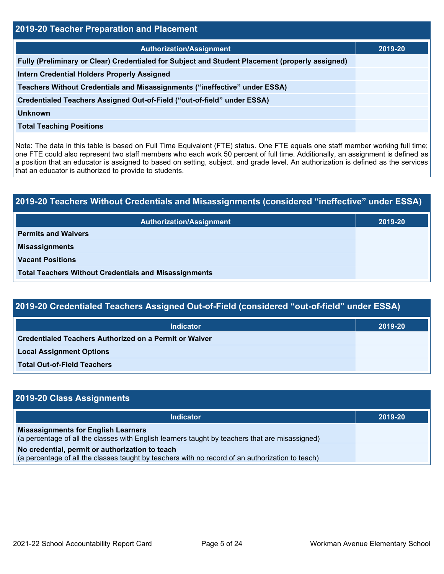| 2019-20 Teacher Preparation and Placement                                                       |         |  |  |  |
|-------------------------------------------------------------------------------------------------|---------|--|--|--|
| <b>Authorization/Assignment</b>                                                                 | 2019-20 |  |  |  |
| Fully (Preliminary or Clear) Credentialed for Subject and Student Placement (properly assigned) |         |  |  |  |
| <b>Intern Credential Holders Properly Assigned</b>                                              |         |  |  |  |
| Teachers Without Credentials and Misassignments ("ineffective" under ESSA)                      |         |  |  |  |
| Credentialed Teachers Assigned Out-of-Field ("out-of-field" under ESSA)                         |         |  |  |  |
| <b>Unknown</b>                                                                                  |         |  |  |  |
| <b>Total Teaching Positions</b>                                                                 |         |  |  |  |

Note: The data in this table is based on Full Time Equivalent (FTE) status. One FTE equals one staff member working full time; one FTE could also represent two staff members who each work 50 percent of full time. Additionally, an assignment is defined as a position that an educator is assigned to based on setting, subject, and grade level. An authorization is defined as the services that an educator is authorized to provide to students.

# **2019-20 Teachers Without Credentials and Misassignments (considered "ineffective" under ESSA) Authorization/Assignment 2019-20 Permits and Waivers Misassignments Vacant Positions Total Teachers Without Credentials and Misassignments**

| 2019-20 Credentialed Teachers Assigned Out-of-Field (considered "out-of-field" under ESSA) |         |  |  |  |
|--------------------------------------------------------------------------------------------|---------|--|--|--|
| Indicator                                                                                  | 2019-20 |  |  |  |
| <b>Credentialed Teachers Authorized on a Permit or Waiver</b>                              |         |  |  |  |
| <b>Local Assignment Options</b>                                                            |         |  |  |  |

**Total Out-of-Field Teachers**

| 2019-20 Class Assignments                                                                                                                           |         |  |  |  |
|-----------------------------------------------------------------------------------------------------------------------------------------------------|---------|--|--|--|
| <b>Indicator</b>                                                                                                                                    | 2019-20 |  |  |  |
| <b>Misassignments for English Learners</b><br>(a percentage of all the classes with English learners taught by teachers that are misassigned)       |         |  |  |  |
| No credential, permit or authorization to teach<br>(a percentage of all the classes taught by teachers with no record of an authorization to teach) |         |  |  |  |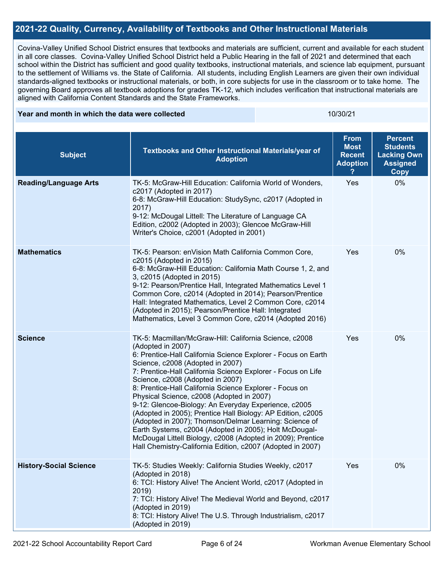### **2021-22 Quality, Currency, Availability of Textbooks and Other Instructional Materials**

Covina-Valley Unified School District ensures that textbooks and materials are sufficient, current and available for each student in all core classes. Covina-Valley Unified School District held a Public Hearing in the fall of 2021 and determined that each school within the District has sufficient and good quality textbooks, instructional materials, and science lab equipment, pursuant to the settlement of Williams vs. the State of California. All students, including English Learners are given their own individual standards-aligned textbooks or instructional materials, or both, in core subjects for use in the classroom or to take home. The governing Board approves all textbook adoptions for grades TK-12, which includes verification that instructional materials are aligned with California Content Standards and the State Frameworks.

### **Year and month in which the data were collected 10/30/21 10/30/21**

| <b>Subject</b>                | Textbooks and Other Instructional Materials/year of<br><b>Adoption</b>                                                                                                                                                                                                                                                                                                                                                                                                                                                                                                                                                                                                                                                                                               | <b>From</b><br><b>Most</b><br><b>Recent</b><br><b>Adoption</b> | <b>Percent</b><br><b>Students</b><br><b>Lacking Own</b><br><b>Assigned</b><br><b>Copy</b> |
|-------------------------------|----------------------------------------------------------------------------------------------------------------------------------------------------------------------------------------------------------------------------------------------------------------------------------------------------------------------------------------------------------------------------------------------------------------------------------------------------------------------------------------------------------------------------------------------------------------------------------------------------------------------------------------------------------------------------------------------------------------------------------------------------------------------|----------------------------------------------------------------|-------------------------------------------------------------------------------------------|
| <b>Reading/Language Arts</b>  | TK-5: McGraw-Hill Education: California World of Wonders,<br>c2017 (Adopted in 2017)<br>6-8: McGraw-Hill Education: StudySync, c2017 (Adopted in<br>2017)<br>9-12: McDougal Littell: The Literature of Language CA<br>Edition, c2002 (Adopted in 2003); Glencoe McGraw-Hill<br>Writer's Choice, c2001 (Adopted in 2001)                                                                                                                                                                                                                                                                                                                                                                                                                                              | Yes                                                            | 0%                                                                                        |
| <b>Mathematics</b>            | TK-5: Pearson: enVision Math California Common Core,<br>c2015 (Adopted in 2015)<br>6-8: McGraw-Hill Education: California Math Course 1, 2, and<br>3, c2015 (Adopted in 2015)<br>9-12: Pearson/Prentice Hall, Integrated Mathematics Level 1<br>Common Core, c2014 (Adopted in 2014); Pearson/Prentice<br>Hall: Integrated Mathematics, Level 2 Common Core, c2014<br>(Adopted in 2015); Pearson/Prentice Hall: Integrated<br>Mathematics, Level 3 Common Core, c2014 (Adopted 2016)                                                                                                                                                                                                                                                                                 | Yes                                                            | 0%                                                                                        |
| <b>Science</b>                | TK-5: Macmillan/McGraw-Hill: California Science, c2008<br>(Adopted in 2007)<br>6: Prentice-Hall California Science Explorer - Focus on Earth<br>Science, c2008 (Adopted in 2007)<br>7: Prentice-Hall California Science Explorer - Focus on Life<br>Science, c2008 (Adopted in 2007)<br>8: Prentice-Hall California Science Explorer - Focus on<br>Physical Science, c2008 (Adopted in 2007)<br>9-12: Glencoe-Biology: An Everyday Experience, c2005<br>(Adopted in 2005); Prentice Hall Biology: AP Edition, c2005<br>(Adopted in 2007); Thomson/Delmar Learning: Science of<br>Earth Systems, c2004 (Adopted in 2005); Holt McDougal-<br>McDougal Littell Biology, c2008 (Adopted in 2009); Prentice<br>Hall Chemistry-California Edition, c2007 (Adopted in 2007) | Yes                                                            | 0%                                                                                        |
| <b>History-Social Science</b> | TK-5: Studies Weekly: California Studies Weekly, c2017<br>(Adopted in 2018)<br>6: TCI: History Alive! The Ancient World, c2017 (Adopted in<br>2019)<br>7: TCI: History Alive! The Medieval World and Beyond, c2017<br>(Adopted in 2019)<br>8: TCI: History Alive! The U.S. Through Industrialism, c2017<br>(Adopted in 2019)                                                                                                                                                                                                                                                                                                                                                                                                                                         | Yes                                                            | 0%                                                                                        |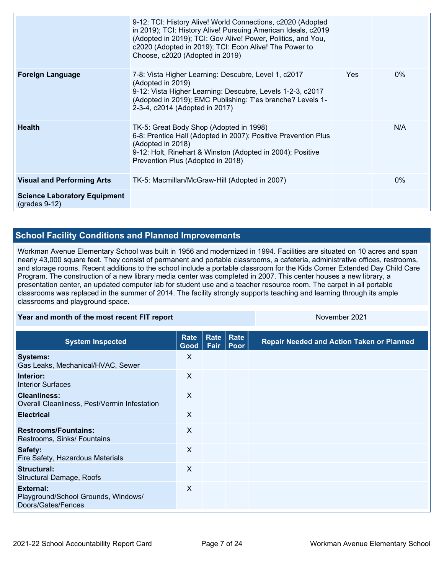|                                                        | 9-12: TCI: History Alive! World Connections, c2020 (Adopted<br>in 2019); TCI: History Alive! Pursuing American Ideals, c2019<br>(Adopted in 2019); TCI: Gov Alive! Power, Politics, and You,<br>c2020 (Adopted in 2019); TCI: Econ Alive! The Power to<br>Choose, c2020 (Adopted in 2019) |      |       |
|--------------------------------------------------------|-------------------------------------------------------------------------------------------------------------------------------------------------------------------------------------------------------------------------------------------------------------------------------------------|------|-------|
| <b>Foreign Language</b>                                | 7-8: Vista Higher Learning: Descubre, Level 1, c2017<br>(Adopted in 2019)<br>9-12: Vista Higher Learning: Descubre, Levels 1-2-3, c2017<br>(Adopted in 2019); EMC Publishing: T'es branche? Levels 1-<br>2-3-4, c2014 (Adopted in 2017)                                                   | Yes. | $0\%$ |
| <b>Health</b>                                          | TK-5: Great Body Shop (Adopted in 1998)<br>6-8: Prentice Hall (Adopted in 2007); Positive Prevention Plus<br>(Adopted in 2018)<br>9-12: Holt, Rinehart & Winston (Adopted in 2004); Positive<br>Prevention Plus (Adopted in 2018)                                                         |      | N/A   |
| <b>Visual and Performing Arts</b>                      | TK-5: Macmillan/McGraw-Hill (Adopted in 2007)                                                                                                                                                                                                                                             |      | $0\%$ |
| <b>Science Laboratory Equipment</b><br>$(grades 9-12)$ |                                                                                                                                                                                                                                                                                           |      |       |

# **School Facility Conditions and Planned Improvements**

Workman Avenue Elementary School was built in 1956 and modernized in 1994. Facilities are situated on 10 acres and span nearly 43,000 square feet. They consist of permanent and portable classrooms, a cafeteria, administrative offices, restrooms, and storage rooms. Recent additions to the school include a portable classroom for the Kids Corner Extended Day Child Care Program. The construction of a new library media center was completed in 2007. This center houses a new library, a presentation center, an updated computer lab for student use and a teacher resource room. The carpet in all portable classrooms was replaced in the summer of 2014. The facility strongly supports teaching and learning through its ample classrooms and playground space.

### **Year and month of the most recent FIT report** November 2021

| <b>System Inspected</b>                                                | Rate<br>Good | <b>Rate</b><br>Fair | Rate<br>Poor | <b>Repair Needed and Action Taken or Planned</b> |
|------------------------------------------------------------------------|--------------|---------------------|--------------|--------------------------------------------------|
| <b>Systems:</b><br>Gas Leaks, Mechanical/HVAC, Sewer                   | X            |                     |              |                                                  |
| Interior:<br><b>Interior Surfaces</b>                                  | X            |                     |              |                                                  |
| <b>Cleanliness:</b><br>Overall Cleanliness, Pest/Vermin Infestation    | X            |                     |              |                                                  |
| <b>Electrical</b>                                                      | X            |                     |              |                                                  |
| <b>Restrooms/Fountains:</b><br>Restrooms, Sinks/ Fountains             | X            |                     |              |                                                  |
| Safety:<br>Fire Safety, Hazardous Materials                            | X            |                     |              |                                                  |
| Structural:<br><b>Structural Damage, Roofs</b>                         | X            |                     |              |                                                  |
| External:<br>Playground/School Grounds, Windows/<br>Doors/Gates/Fences | X            |                     |              |                                                  |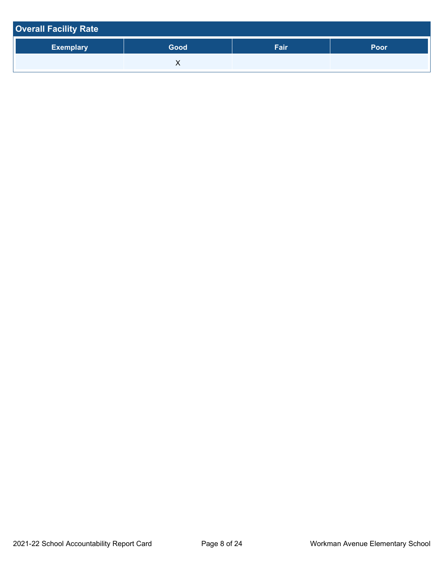| <b>Overall Facility Rate</b> |      |      |      |  |  |
|------------------------------|------|------|------|--|--|
| <b>Exemplary</b>             | Good | Fair | Poor |  |  |
|                              |      |      |      |  |  |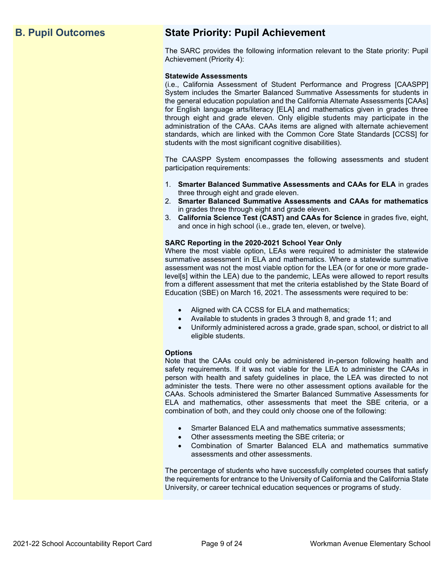# **B. Pupil Outcomes State Priority: Pupil Achievement**

The SARC provides the following information relevant to the State priority: Pupil Achievement (Priority 4):

### **Statewide Assessments**

(i.e., California Assessment of Student Performance and Progress [CAASPP] System includes the Smarter Balanced Summative Assessments for students in the general education population and the California Alternate Assessments [CAAs] for English language arts/literacy [ELA] and mathematics given in grades three through eight and grade eleven. Only eligible students may participate in the administration of the CAAs. CAAs items are aligned with alternate achievement standards, which are linked with the Common Core State Standards [CCSS] for students with the most significant cognitive disabilities).

The CAASPP System encompasses the following assessments and student participation requirements:

- 1. **Smarter Balanced Summative Assessments and CAAs for ELA** in grades three through eight and grade eleven.
- 2. **Smarter Balanced Summative Assessments and CAAs for mathematics** in grades three through eight and grade eleven.
- 3. **California Science Test (CAST) and CAAs for Science** in grades five, eight, and once in high school (i.e., grade ten, eleven, or twelve).

### **SARC Reporting in the 2020-2021 School Year Only**

Where the most viable option, LEAs were required to administer the statewide summative assessment in ELA and mathematics. Where a statewide summative assessment was not the most viable option for the LEA (or for one or more gradelevel[s] within the LEA) due to the pandemic, LEAs were allowed to report results from a different assessment that met the criteria established by the State Board of Education (SBE) on March 16, 2021. The assessments were required to be:

- Aligned with CA CCSS for ELA and mathematics;
- Available to students in grades 3 through 8, and grade 11; and
- Uniformly administered across a grade, grade span, school, or district to all eligible students.

### **Options**

Note that the CAAs could only be administered in-person following health and safety requirements. If it was not viable for the LEA to administer the CAAs in person with health and safety guidelines in place, the LEA was directed to not administer the tests. There were no other assessment options available for the CAAs. Schools administered the Smarter Balanced Summative Assessments for ELA and mathematics, other assessments that meet the SBE criteria, or a combination of both, and they could only choose one of the following:

- Smarter Balanced ELA and mathematics summative assessments;
- Other assessments meeting the SBE criteria; or
- Combination of Smarter Balanced ELA and mathematics summative assessments and other assessments.

The percentage of students who have successfully completed courses that satisfy the requirements for entrance to the University of California and the California State University, or career technical education sequences or programs of study.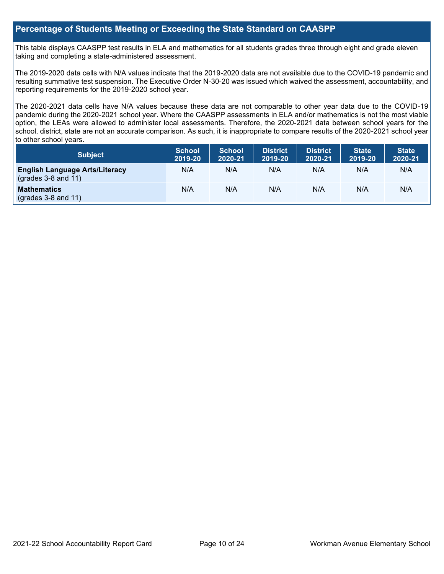### **Percentage of Students Meeting or Exceeding the State Standard on CAASPP**

This table displays CAASPP test results in ELA and mathematics for all students grades three through eight and grade eleven taking and completing a state-administered assessment.

The 2019-2020 data cells with N/A values indicate that the 2019-2020 data are not available due to the COVID-19 pandemic and resulting summative test suspension. The Executive Order N-30-20 was issued which waived the assessment, accountability, and reporting requirements for the 2019-2020 school year.

The 2020-2021 data cells have N/A values because these data are not comparable to other year data due to the COVID-19 pandemic during the 2020-2021 school year. Where the CAASPP assessments in ELA and/or mathematics is not the most viable option, the LEAs were allowed to administer local assessments. Therefore, the 2020-2021 data between school years for the school, district, state are not an accurate comparison. As such, it is inappropriate to compare results of the 2020-2021 school year to other school years.

| <b>Subject</b>                                                       | <b>School</b><br>2019-20 | <b>School</b><br>2020-21 | <b>District</b><br>2019-20 | <b>District</b><br>2020-21 | <b>State</b><br>2019-20 | <b>State</b><br>2020-21 |
|----------------------------------------------------------------------|--------------------------|--------------------------|----------------------------|----------------------------|-------------------------|-------------------------|
| <b>English Language Arts/Literacy</b><br>$\left($ grades 3-8 and 11) | N/A                      | N/A                      | N/A                        | N/A                        | N/A                     | N/A                     |
| <b>Mathematics</b><br>$($ grades 3-8 and 11 $)$                      | N/A                      | N/A                      | N/A                        | N/A                        | N/A                     | N/A                     |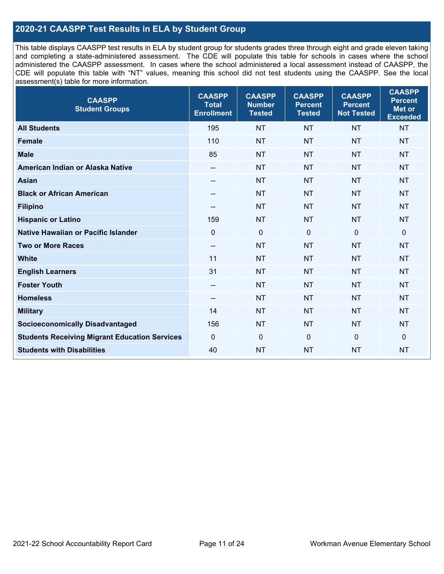## **2020-21 CAASPP Test Results in ELA by Student Group**

This table displays CAASPP test results in ELA by student group for students grades three through eight and grade eleven taking and completing a state-administered assessment. The CDE will populate this table for schools in cases where the school administered the CAASPP assessment. In cases where the school administered a local assessment instead of CAASPP, the CDE will populate this table with "NT" values, meaning this school did not test students using the CAASPP. See the local assessment(s) table for more information.

| <b>CAASPP</b><br><b>Student Groups</b>               | <b>CAASPP</b><br><b>Total</b><br><b>Enrollment</b> | <b>CAASPP</b><br><b>Number</b><br><b>Tested</b> | <b>CAASPP</b><br><b>Percent</b><br><b>Tested</b> | <b>CAASPP</b><br><b>Percent</b><br><b>Not Tested</b> | <b>CAASPP</b><br><b>Percent</b><br><b>Met or</b><br><b>Exceeded</b> |
|------------------------------------------------------|----------------------------------------------------|-------------------------------------------------|--------------------------------------------------|------------------------------------------------------|---------------------------------------------------------------------|
| <b>All Students</b>                                  | 195                                                | <b>NT</b>                                       | <b>NT</b>                                        | <b>NT</b>                                            | <b>NT</b>                                                           |
| <b>Female</b>                                        | 110                                                | <b>NT</b>                                       | <b>NT</b>                                        | <b>NT</b>                                            | <b>NT</b>                                                           |
| <b>Male</b>                                          | 85                                                 | <b>NT</b>                                       | <b>NT</b>                                        | <b>NT</b>                                            | <b>NT</b>                                                           |
| American Indian or Alaska Native                     | --                                                 | <b>NT</b>                                       | <b>NT</b>                                        | <b>NT</b>                                            | <b>NT</b>                                                           |
| <b>Asian</b>                                         | --                                                 | <b>NT</b>                                       | <b>NT</b>                                        | <b>NT</b>                                            | <b>NT</b>                                                           |
| <b>Black or African American</b>                     | --                                                 | <b>NT</b>                                       | <b>NT</b>                                        | <b>NT</b>                                            | <b>NT</b>                                                           |
| <b>Filipino</b>                                      | --                                                 | <b>NT</b>                                       | <b>NT</b>                                        | <b>NT</b>                                            | <b>NT</b>                                                           |
| <b>Hispanic or Latino</b>                            | 159                                                | <b>NT</b>                                       | <b>NT</b>                                        | <b>NT</b>                                            | <b>NT</b>                                                           |
| <b>Native Hawaiian or Pacific Islander</b>           | $\mathbf 0$                                        | $\mathbf 0$                                     | $\mathbf 0$                                      | $\mathbf 0$                                          | $\mathbf 0$                                                         |
| <b>Two or More Races</b>                             | $\overline{\phantom{a}}$                           | <b>NT</b>                                       | <b>NT</b>                                        | <b>NT</b>                                            | <b>NT</b>                                                           |
| <b>White</b>                                         | 11                                                 | <b>NT</b>                                       | <b>NT</b>                                        | <b>NT</b>                                            | <b>NT</b>                                                           |
| <b>English Learners</b>                              | 31                                                 | <b>NT</b>                                       | <b>NT</b>                                        | <b>NT</b>                                            | <b>NT</b>                                                           |
| <b>Foster Youth</b>                                  | $-$                                                | <b>NT</b>                                       | <b>NT</b>                                        | <b>NT</b>                                            | <b>NT</b>                                                           |
| <b>Homeless</b>                                      | $\overline{\phantom{a}}$                           | <b>NT</b>                                       | <b>NT</b>                                        | <b>NT</b>                                            | <b>NT</b>                                                           |
| <b>Military</b>                                      | 14                                                 | <b>NT</b>                                       | <b>NT</b>                                        | <b>NT</b>                                            | <b>NT</b>                                                           |
| <b>Socioeconomically Disadvantaged</b>               | 156                                                | <b>NT</b>                                       | <b>NT</b>                                        | <b>NT</b>                                            | <b>NT</b>                                                           |
| <b>Students Receiving Migrant Education Services</b> | $\Omega$                                           | $\mathbf 0$                                     | $\Omega$                                         | $\mathbf 0$                                          | 0                                                                   |
| <b>Students with Disabilities</b>                    | 40                                                 | <b>NT</b>                                       | <b>NT</b>                                        | <b>NT</b>                                            | <b>NT</b>                                                           |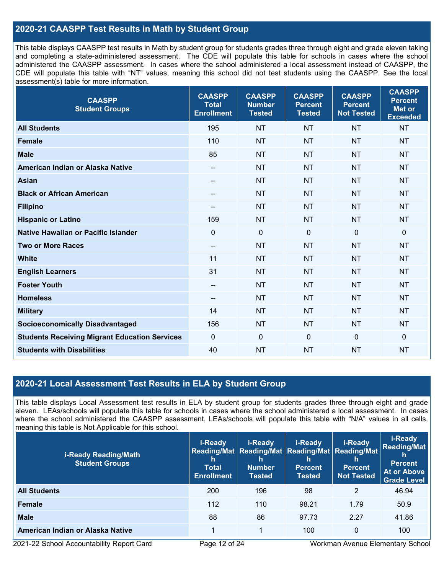# **2020-21 CAASPP Test Results in Math by Student Group**

This table displays CAASPP test results in Math by student group for students grades three through eight and grade eleven taking and completing a state-administered assessment. The CDE will populate this table for schools in cases where the school administered the CAASPP assessment. In cases where the school administered a local assessment instead of CAASPP, the CDE will populate this table with "NT" values, meaning this school did not test students using the CAASPP. See the local assessment(s) table for more information.

| <b>CAASPP</b><br><b>Student Groups</b>               | <b>CAASPP</b><br><b>Total</b><br><b>Enrollment</b> | <b>CAASPP</b><br><b>Number</b><br><b>Tested</b> | <b>CAASPP</b><br><b>Percent</b><br><b>Tested</b> | <b>CAASPP</b><br><b>Percent</b><br><b>Not Tested</b> | <b>CAASPP</b><br><b>Percent</b><br><b>Met or</b><br><b>Exceeded</b> |
|------------------------------------------------------|----------------------------------------------------|-------------------------------------------------|--------------------------------------------------|------------------------------------------------------|---------------------------------------------------------------------|
| <b>All Students</b>                                  | 195                                                | <b>NT</b>                                       | <b>NT</b>                                        | <b>NT</b>                                            | <b>NT</b>                                                           |
| <b>Female</b>                                        | 110                                                | <b>NT</b>                                       | <b>NT</b>                                        | <b>NT</b>                                            | <b>NT</b>                                                           |
| <b>Male</b>                                          | 85                                                 | <b>NT</b>                                       | <b>NT</b>                                        | <b>NT</b>                                            | <b>NT</b>                                                           |
| American Indian or Alaska Native                     | $\overline{\phantom{m}}$                           | <b>NT</b>                                       | <b>NT</b>                                        | <b>NT</b>                                            | <b>NT</b>                                                           |
| <b>Asian</b>                                         |                                                    | <b>NT</b>                                       | <b>NT</b>                                        | <b>NT</b>                                            | <b>NT</b>                                                           |
| <b>Black or African American</b>                     | $\overline{\phantom{m}}$                           | <b>NT</b>                                       | <b>NT</b>                                        | <b>NT</b>                                            | <b>NT</b>                                                           |
| <b>Filipino</b>                                      | --                                                 | <b>NT</b>                                       | <b>NT</b>                                        | <b>NT</b>                                            | <b>NT</b>                                                           |
| <b>Hispanic or Latino</b>                            | 159                                                | <b>NT</b>                                       | <b>NT</b>                                        | <b>NT</b>                                            | <b>NT</b>                                                           |
| <b>Native Hawaiian or Pacific Islander</b>           | $\mathbf 0$                                        | $\mathbf 0$                                     | $\mathbf{0}$                                     | $\mathbf 0$                                          | $\mathbf 0$                                                         |
| <b>Two or More Races</b>                             | $\overline{\phantom{a}}$                           | <b>NT</b>                                       | <b>NT</b>                                        | <b>NT</b>                                            | <b>NT</b>                                                           |
| <b>White</b>                                         | 11                                                 | <b>NT</b>                                       | <b>NT</b>                                        | <b>NT</b>                                            | <b>NT</b>                                                           |
| <b>English Learners</b>                              | 31                                                 | <b>NT</b>                                       | <b>NT</b>                                        | <b>NT</b>                                            | <b>NT</b>                                                           |
| <b>Foster Youth</b>                                  | $\overline{\phantom{m}}$                           | <b>NT</b>                                       | <b>NT</b>                                        | <b>NT</b>                                            | <b>NT</b>                                                           |
| <b>Homeless</b>                                      | $\hspace{0.05cm}$ – $\hspace{0.05cm}$              | <b>NT</b>                                       | <b>NT</b>                                        | <b>NT</b>                                            | <b>NT</b>                                                           |
| <b>Military</b>                                      | 14                                                 | <b>NT</b>                                       | <b>NT</b>                                        | <b>NT</b>                                            | <b>NT</b>                                                           |
| <b>Socioeconomically Disadvantaged</b>               | 156                                                | <b>NT</b>                                       | <b>NT</b>                                        | <b>NT</b>                                            | <b>NT</b>                                                           |
| <b>Students Receiving Migrant Education Services</b> | $\mathbf{0}$                                       | $\mathbf 0$                                     | $\mathbf 0$                                      | 0                                                    | $\mathbf 0$                                                         |
| <b>Students with Disabilities</b>                    | 40                                                 | <b>NT</b>                                       | <b>NT</b>                                        | <b>NT</b>                                            | <b>NT</b>                                                           |

### **2020-21 Local Assessment Test Results in ELA by Student Group**

This table displays Local Assessment test results in ELA by student group for students grades three through eight and grade eleven. LEAs/schools will populate this table for schools in cases where the school administered a local assessment. In cases where the school administered the CAASPP assessment, LEAs/schools will populate this table with "N/A" values in all cells, meaning this table is Not Applicable for this school.

| <i>i-Ready Reading/Math</i><br><b>Student Groups</b> | i-Ready<br>h<br><b>Total</b><br><b>Enrollment</b> | i-Ready<br>Reading/Mat Reading/Mat Reading/Mat Reading/Mat<br>h<br><b>Number</b><br><b>Tested</b> | i-Ready<br>n<br><b>Percent</b><br><b>Tested</b> | i-Ready<br>h<br><b>Percent</b><br><b>Not Tested</b> | <i>i-Ready</i><br><b>Reading/Mat</b><br><b>Percent</b><br>At or Above<br><b>Grade Level</b> |
|------------------------------------------------------|---------------------------------------------------|---------------------------------------------------------------------------------------------------|-------------------------------------------------|-----------------------------------------------------|---------------------------------------------------------------------------------------------|
| <b>All Students</b>                                  | 200                                               | 196                                                                                               | 98                                              | 2                                                   | 46.94                                                                                       |
| <b>Female</b>                                        | 112                                               | 110                                                                                               | 98.21                                           | 1.79                                                | 50.9                                                                                        |
| <b>Male</b>                                          | 88                                                | 86                                                                                                | 97.73                                           | 2.27                                                | 41.86                                                                                       |
| American Indian or Alaska Native                     |                                                   | 1                                                                                                 | 100                                             | $\mathbf 0$                                         | 100                                                                                         |

2021-22 School Accountability Report Card Page 12 of 24 Workman Avenue Elementary School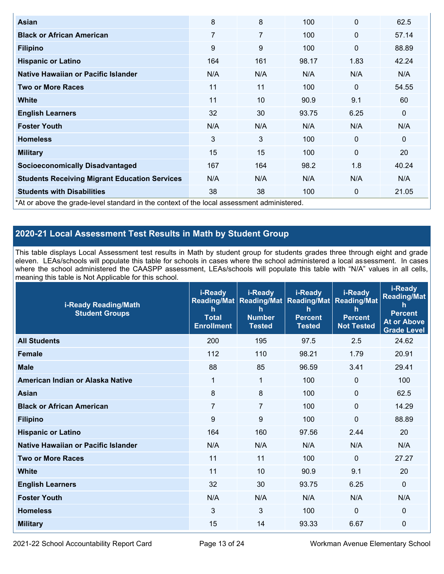| <b>Asian</b>                                                                               | 8   | 8              | 100   | 0            | 62.5        |
|--------------------------------------------------------------------------------------------|-----|----------------|-------|--------------|-------------|
| <b>Black or African American</b>                                                           | 7   | $\overline{7}$ | 100   | $\mathbf 0$  | 57.14       |
| <b>Filipino</b>                                                                            | 9   | 9              | 100   | $\mathbf 0$  | 88.89       |
| <b>Hispanic or Latino</b>                                                                  | 164 | 161            | 98.17 | 1.83         | 42.24       |
| Native Hawaiian or Pacific Islander                                                        | N/A | N/A            | N/A   | N/A          | N/A         |
| <b>Two or More Races</b>                                                                   | 11  | 11             | 100   | $\mathbf{0}$ | 54.55       |
| <b>White</b>                                                                               | 11  | 10             | 90.9  | 9.1          | 60          |
| <b>English Learners</b>                                                                    | 32  | 30             | 93.75 | 6.25         | $\mathbf 0$ |
| <b>Foster Youth</b>                                                                        | N/A | N/A            | N/A   | N/A          | N/A         |
| <b>Homeless</b>                                                                            | 3   | 3              | 100   | $\mathbf{0}$ | $\mathbf 0$ |
| <b>Military</b>                                                                            | 15  | 15             | 100   | $\mathbf 0$  | 20          |
| <b>Socioeconomically Disadvantaged</b>                                                     | 167 | 164            | 98.2  | 1.8          | 40.24       |
| <b>Students Receiving Migrant Education Services</b>                                       | N/A | N/A            | N/A   | N/A          | N/A         |
| <b>Students with Disabilities</b>                                                          | 38  | 38             | 100   | 0            | 21.05       |
| *At or above the grade-level standard in the context of the local assessment administered. |     |                |       |              |             |

# **2020-21 Local Assessment Test Results in Math by Student Group**

This table displays Local Assessment test results in Math by student group for students grades three through eight and grade eleven. LEAs/schools will populate this table for schools in cases where the school administered a local assessment. In cases where the school administered the CAASPP assessment, LEAs/schools will populate this table with "N/A" values in all cells, meaning this table is Not Applicable for this school.

| <b>i-Ready Reading/Math</b><br><b>Student Groups</b> | i-Ready<br>$\mathsf{h}$<br><b>Total</b><br><b>Enrollment</b> | i-Ready<br>Reading/Mat   Reading/Mat   Reading/Mat  <br>$\mathsf{h}$<br><b>Number</b><br><b>Tested</b> | i-Ready<br>h<br><b>Percent</b><br><b>Tested</b> | i-Ready<br><b>Reading/Mat</b><br>$\mathsf{h}$<br><b>Percent</b><br><b>Not Tested</b> | i-Ready<br><b>Reading/Mat</b><br>h<br><b>Percent</b><br><b>At or Above</b><br><b>Grade Level</b> |
|------------------------------------------------------|--------------------------------------------------------------|--------------------------------------------------------------------------------------------------------|-------------------------------------------------|--------------------------------------------------------------------------------------|--------------------------------------------------------------------------------------------------|
| <b>All Students</b>                                  | 200                                                          | 195                                                                                                    | 97.5                                            | 2.5                                                                                  | 24.62                                                                                            |
| <b>Female</b>                                        | 112                                                          | 110                                                                                                    | 98.21                                           | 1.79                                                                                 | 20.91                                                                                            |
| <b>Male</b>                                          | 88                                                           | 85                                                                                                     | 96.59                                           | 3.41                                                                                 | 29.41                                                                                            |
| American Indian or Alaska Native                     | 1                                                            | 1                                                                                                      | 100                                             | 0                                                                                    | 100                                                                                              |
| <b>Asian</b>                                         | 8                                                            | 8                                                                                                      | 100                                             | 0                                                                                    | 62.5                                                                                             |
| <b>Black or African American</b>                     | $\overline{7}$                                               | 7                                                                                                      | 100                                             | $\mathbf 0$                                                                          | 14.29                                                                                            |
| <b>Filipino</b>                                      | 9                                                            | 9                                                                                                      | 100                                             | 0                                                                                    | 88.89                                                                                            |
| <b>Hispanic or Latino</b>                            | 164                                                          | 160                                                                                                    | 97.56                                           | 2.44                                                                                 | 20                                                                                               |
| Native Hawaiian or Pacific Islander                  | N/A                                                          | N/A                                                                                                    | N/A                                             | N/A                                                                                  | N/A                                                                                              |
| <b>Two or More Races</b>                             | 11                                                           | 11                                                                                                     | 100                                             | $\Omega$                                                                             | 27.27                                                                                            |
| <b>White</b>                                         | 11                                                           | 10                                                                                                     | 90.9                                            | 9.1                                                                                  | 20                                                                                               |
| <b>English Learners</b>                              | 32                                                           | 30                                                                                                     | 93.75                                           | 6.25                                                                                 | 0                                                                                                |
| <b>Foster Youth</b>                                  | N/A                                                          | N/A                                                                                                    | N/A                                             | N/A                                                                                  | N/A                                                                                              |
| <b>Homeless</b>                                      | 3                                                            | 3                                                                                                      | 100                                             | 0                                                                                    | 0                                                                                                |
| <b>Military</b>                                      | 15                                                           | 14                                                                                                     | 93.33                                           | 6.67                                                                                 | 0                                                                                                |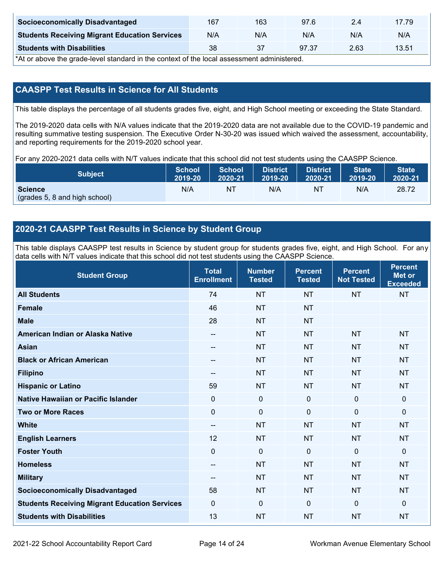| <b>Socioeconomically Disadvantaged</b>               | 167 | 163 | 97.6  | 2.4  | 17.79 |
|------------------------------------------------------|-----|-----|-------|------|-------|
| <b>Students Receiving Migrant Education Services</b> | N/A | N/A | N/A   | N/A  | N/A   |
| <b>Students with Disabilities</b>                    | 38  | 37  | 97.37 | 2.63 | 13.51 |

\*At or above the grade-level standard in the context of the local assessment administered.

# **CAASPP Test Results in Science for All Students**

This table displays the percentage of all students grades five, eight, and High School meeting or exceeding the State Standard.

The 2019-2020 data cells with N/A values indicate that the 2019-2020 data are not available due to the COVID-19 pandemic and resulting summative testing suspension. The Executive Order N-30-20 was issued which waived the assessment, accountability, and reporting requirements for the 2019-2020 school year.

For any 2020-2021 data cells with N/T values indicate that this school did not test students using the CAASPP Science.

| Subject                                         | <b>School</b> | <b>School</b> | <b>District</b> | <b>District</b> | <b>State</b> | <b>State</b> |
|-------------------------------------------------|---------------|---------------|-----------------|-----------------|--------------|--------------|
|                                                 | 2019-20       | 2020-21       | 2019-20         | 2020-21         | 2019-20      | 2020-21      |
| <b>Science</b><br>(grades 5, 8 and high school) | N/A           | ΝT            | N/A             | NT              | N/A          | 28.72        |

# **2020-21 CAASPP Test Results in Science by Student Group**

This table displays CAASPP test results in Science by student group for students grades five, eight, and High School. For any data cells with N/T values indicate that this school did not test students using the CAASPP Science.

| <b>Student Group</b>                                 | <b>Total</b><br><b>Enrollment</b> | <b>Number</b><br><b>Tested</b> | <b>Percent</b><br><b>Tested</b> | <b>Percent</b><br><b>Not Tested</b> | <b>Percent</b><br><b>Met or</b><br><b>Exceeded</b> |
|------------------------------------------------------|-----------------------------------|--------------------------------|---------------------------------|-------------------------------------|----------------------------------------------------|
| <b>All Students</b>                                  | 74                                | <b>NT</b>                      | <b>NT</b>                       | <b>NT</b>                           | <b>NT</b>                                          |
| <b>Female</b>                                        | 46                                | <b>NT</b>                      | <b>NT</b>                       |                                     |                                                    |
| <b>Male</b>                                          | 28                                | <b>NT</b>                      | <b>NT</b>                       |                                     |                                                    |
| American Indian or Alaska Native                     | --                                | <b>NT</b>                      | <b>NT</b>                       | <b>NT</b>                           | <b>NT</b>                                          |
| <b>Asian</b>                                         | --                                | <b>NT</b>                      | <b>NT</b>                       | <b>NT</b>                           | <b>NT</b>                                          |
| <b>Black or African American</b>                     | $-$                               | <b>NT</b>                      | <b>NT</b>                       | <b>NT</b>                           | <b>NT</b>                                          |
| <b>Filipino</b>                                      | --                                | <b>NT</b>                      | <b>NT</b>                       | <b>NT</b>                           | <b>NT</b>                                          |
| <b>Hispanic or Latino</b>                            | 59                                | <b>NT</b>                      | <b>NT</b>                       | <b>NT</b>                           | <b>NT</b>                                          |
| Native Hawaiian or Pacific Islander                  | $\mathbf 0$                       | $\mathbf 0$                    | 0                               | $\mathbf 0$                         | $\mathbf 0$                                        |
| <b>Two or More Races</b>                             | $\Omega$                          | $\mathbf 0$                    | $\mathbf{0}$                    | $\mathbf 0$                         | $\mathbf 0$                                        |
| <b>White</b>                                         | --                                | <b>NT</b>                      | <b>NT</b>                       | <b>NT</b>                           | <b>NT</b>                                          |
| <b>English Learners</b>                              | 12                                | <b>NT</b>                      | <b>NT</b>                       | <b>NT</b>                           | <b>NT</b>                                          |
| <b>Foster Youth</b>                                  | $\mathbf 0$                       | $\mathbf 0$                    | $\mathbf 0$                     | $\mathbf 0$                         | $\mathbf 0$                                        |
| <b>Homeless</b>                                      | $\overline{\phantom{a}}$          | <b>NT</b>                      | <b>NT</b>                       | <b>NT</b>                           | <b>NT</b>                                          |
| <b>Military</b>                                      | --                                | <b>NT</b>                      | <b>NT</b>                       | <b>NT</b>                           | <b>NT</b>                                          |
| <b>Socioeconomically Disadvantaged</b>               | 58                                | <b>NT</b>                      | <b>NT</b>                       | <b>NT</b>                           | <b>NT</b>                                          |
| <b>Students Receiving Migrant Education Services</b> | $\mathbf 0$                       | $\mathbf 0$                    | $\Omega$                        | $\mathbf 0$                         | $\mathbf 0$                                        |
| <b>Students with Disabilities</b>                    | 13                                | <b>NT</b>                      | <b>NT</b>                       | <b>NT</b>                           | <b>NT</b>                                          |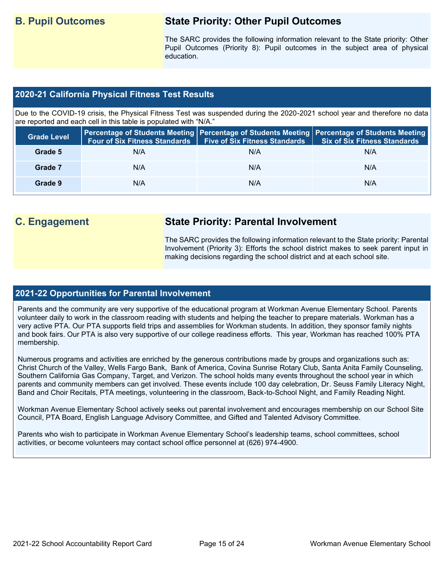# **B. Pupil Outcomes State Priority: Other Pupil Outcomes**

The SARC provides the following information relevant to the State priority: Other Pupil Outcomes (Priority 8): Pupil outcomes in the subject area of physical education.

### **2020-21 California Physical Fitness Test Results**

Due to the COVID-19 crisis, the Physical Fitness Test was suspended during the 2020-2021 school year and therefore no data are reported and each cell in this table is populated with "N/A."

| <b>Grade Level</b> | <b>Four of Six Fitness Standards</b> | <b>Five of Six Fitness Standards</b> | Percentage of Students Meeting   Percentage of Students Meeting   Percentage of Students Meeting  <br><b>Six of Six Fitness Standards</b> |
|--------------------|--------------------------------------|--------------------------------------|-------------------------------------------------------------------------------------------------------------------------------------------|
| Grade 5            | N/A                                  | N/A                                  | N/A                                                                                                                                       |
| Grade 7            | N/A                                  | N/A                                  | N/A                                                                                                                                       |
| Grade 9            | N/A                                  | N/A                                  | N/A                                                                                                                                       |

# **C. Engagement State Priority: Parental Involvement**

The SARC provides the following information relevant to the State priority: Parental Involvement (Priority 3): Efforts the school district makes to seek parent input in making decisions regarding the school district and at each school site.

### **2021-22 Opportunities for Parental Involvement**

Parents and the community are very supportive of the educational program at Workman Avenue Elementary School. Parents volunteer daily to work in the classroom reading with students and helping the teacher to prepare materials. Workman has a very active PTA. Our PTA supports field trips and assemblies for Workman students. In addition, they sponsor family nights and book fairs. Our PTA is also very supportive of our college readiness efforts. This year, Workman has reached 100% PTA membership.

Numerous programs and activities are enriched by the generous contributions made by groups and organizations such as: Christ Church of the Valley, Wells Fargo Bank, Bank of America, Covina Sunrise Rotary Club, Santa Anita Family Counseling, Southern California Gas Company, Target, and Verizon. The school holds many events throughout the school year in which parents and community members can get involved. These events include 100 day celebration, Dr. Seuss Family Literacy Night, Band and Choir Recitals, PTA meetings, volunteering in the classroom, Back-to-School Night, and Family Reading Night.

Workman Avenue Elementary School actively seeks out parental involvement and encourages membership on our School Site Council, PTA Board, English Language Advisory Committee, and Gifted and Talented Advisory Committee.

Parents who wish to participate in Workman Avenue Elementary School's leadership teams, school committees, school activities, or become volunteers may contact school office personnel at (626) 974-4900.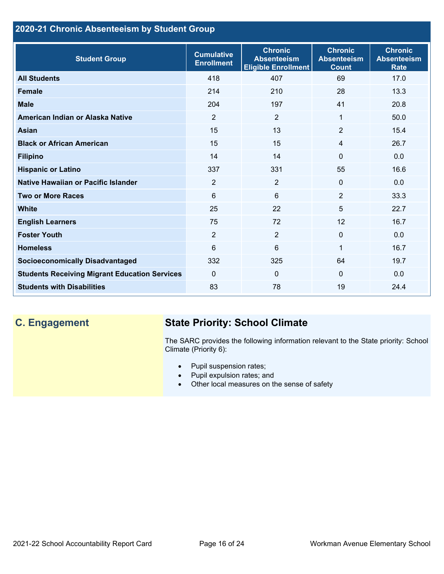# **2020-21 Chronic Absenteeism by Student Group**

| <b>Student Group</b>                                 | <b>Cumulative</b><br><b>Enrollment</b> | <b>Chronic</b><br><b>Absenteeism</b><br><b>Eligible Enrollment</b> | <b>Chronic</b><br><b>Absenteeism</b><br><b>Count</b> | <b>Chronic</b><br><b>Absenteeism</b><br><b>Rate</b> |
|------------------------------------------------------|----------------------------------------|--------------------------------------------------------------------|------------------------------------------------------|-----------------------------------------------------|
| <b>All Students</b>                                  | 418                                    | 407                                                                | 69                                                   | 17.0                                                |
| <b>Female</b>                                        | 214                                    | 210                                                                | 28                                                   | 13.3                                                |
| <b>Male</b>                                          | 204                                    | 197                                                                | 41                                                   | 20.8                                                |
| American Indian or Alaska Native                     | 2                                      | 2                                                                  | 1                                                    | 50.0                                                |
| <b>Asian</b>                                         | 15                                     | 13                                                                 | $\overline{2}$                                       | 15.4                                                |
| <b>Black or African American</b>                     | 15                                     | 15                                                                 | $\overline{4}$                                       | 26.7                                                |
| <b>Filipino</b>                                      | 14                                     | 14                                                                 | $\mathbf{0}$                                         | 0.0                                                 |
| <b>Hispanic or Latino</b>                            | 337                                    | 331                                                                | 55                                                   | 16.6                                                |
| Native Hawaiian or Pacific Islander                  | $\overline{2}$                         | $\overline{2}$                                                     | $\mathbf 0$                                          | 0.0                                                 |
| <b>Two or More Races</b>                             | 6                                      | 6                                                                  | 2                                                    | 33.3                                                |
| <b>White</b>                                         | 25                                     | 22                                                                 | 5                                                    | 22.7                                                |
| <b>English Learners</b>                              | 75                                     | 72                                                                 | 12                                                   | 16.7                                                |
| <b>Foster Youth</b>                                  | $\overline{2}$                         | $\overline{2}$                                                     | $\mathbf{0}$                                         | 0.0                                                 |
| <b>Homeless</b>                                      | 6                                      | 6                                                                  | 1                                                    | 16.7                                                |
| <b>Socioeconomically Disadvantaged</b>               | 332                                    | 325                                                                | 64                                                   | 19.7                                                |
| <b>Students Receiving Migrant Education Services</b> | $\mathbf{0}$                           | $\mathbf 0$                                                        | $\mathbf{0}$                                         | 0.0                                                 |
| <b>Students with Disabilities</b>                    | 83                                     | 78                                                                 | 19                                                   | 24.4                                                |

# **C. Engagement State Priority: School Climate**

The SARC provides the following information relevant to the State priority: School Climate (Priority 6):

- Pupil suspension rates;
- Pupil expulsion rates; and
- Other local measures on the sense of safety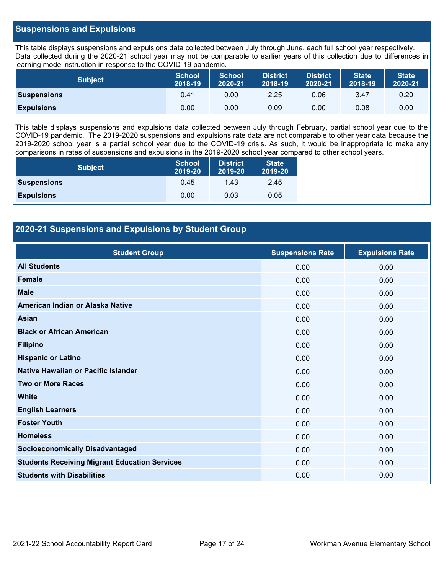### **Suspensions and Expulsions**

This table displays suspensions and expulsions data collected between July through June, each full school year respectively. Data collected during the 2020-21 school year may not be comparable to earlier years of this collection due to differences in learning mode instruction in response to the COVID-19 pandemic.

| <b>Subject</b>     | <b>School</b><br>2018-19 | <b>School</b><br>2020-21 | <b>District</b><br>2018-19 | <b>District</b><br>2020-21 | <b>State</b><br>2018-19 | <b>State</b><br>2020-21 |
|--------------------|--------------------------|--------------------------|----------------------------|----------------------------|-------------------------|-------------------------|
| <b>Suspensions</b> | 0.41                     | 0.00                     | 2.25                       | 0.06                       | 3.47                    | 0.20                    |
| <b>Expulsions</b>  | 0.00                     | 0.00                     | 0.09                       | 0.00                       | 0.08                    | 0.00                    |

This table displays suspensions and expulsions data collected between July through February, partial school year due to the COVID-19 pandemic. The 2019-2020 suspensions and expulsions rate data are not comparable to other year data because the 2019-2020 school year is a partial school year due to the COVID-19 crisis. As such, it would be inappropriate to make any comparisons in rates of suspensions and expulsions in the 2019-2020 school year compared to other school years.

| <b>Subject</b>     | <b>School</b><br>2019-20 | <b>District</b><br>2019-20 | <b>State</b><br>2019-20 |
|--------------------|--------------------------|----------------------------|-------------------------|
| <b>Suspensions</b> | 0.45                     | 1.43                       | 2.45                    |
| <b>Expulsions</b>  | 0.00                     | 0.03                       | 0.05                    |

### **2020-21 Suspensions and Expulsions by Student Group**

| <b>Student Group</b>                                 | <b>Suspensions Rate</b> | <b>Expulsions Rate</b> |
|------------------------------------------------------|-------------------------|------------------------|
| <b>All Students</b>                                  | 0.00                    | 0.00                   |
| <b>Female</b>                                        | 0.00                    | 0.00                   |
| <b>Male</b>                                          | 0.00                    | 0.00                   |
| American Indian or Alaska Native                     | 0.00                    | 0.00                   |
| <b>Asian</b>                                         | 0.00                    | 0.00                   |
| <b>Black or African American</b>                     | 0.00                    | 0.00                   |
| <b>Filipino</b>                                      | 0.00                    | 0.00                   |
| <b>Hispanic or Latino</b>                            | 0.00                    | 0.00                   |
| Native Hawaiian or Pacific Islander                  | 0.00                    | 0.00                   |
| <b>Two or More Races</b>                             | 0.00                    | 0.00                   |
| <b>White</b>                                         | 0.00                    | 0.00                   |
| <b>English Learners</b>                              | 0.00                    | 0.00                   |
| <b>Foster Youth</b>                                  | 0.00                    | 0.00                   |
| <b>Homeless</b>                                      | 0.00                    | 0.00                   |
| <b>Socioeconomically Disadvantaged</b>               | 0.00                    | 0.00                   |
| <b>Students Receiving Migrant Education Services</b> | 0.00                    | 0.00                   |
| <b>Students with Disabilities</b>                    | 0.00                    | 0.00                   |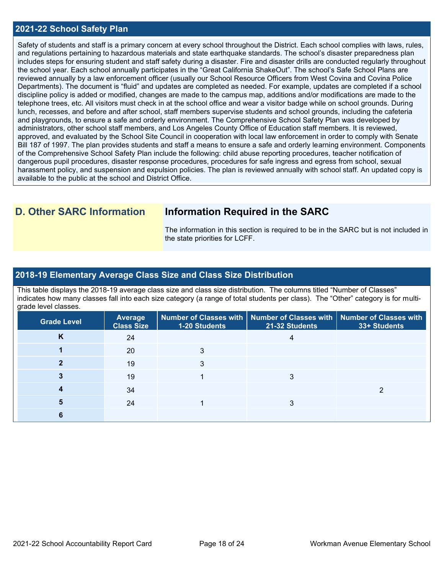### **2021-22 School Safety Plan**

Safety of students and staff is a primary concern at every school throughout the District. Each school complies with laws, rules, and regulations pertaining to hazardous materials and state earthquake standards. The school's disaster preparedness plan includes steps for ensuring student and staff safety during a disaster. Fire and disaster drills are conducted regularly throughout the school year. Each school annually participates in the "Great California ShakeOut". The school's Safe School Plans are reviewed annually by a law enforcement officer (usually our School Resource Officers from West Covina and Covina Police Departments). The document is "fluid" and updates are completed as needed. For example, updates are completed if a school discipline policy is added or modified, changes are made to the campus map, additions and/or modifications are made to the telephone trees, etc. All visitors must check in at the school office and wear a visitor badge while on school grounds. During lunch, recesses, and before and after school, staff members supervise students and school grounds, including the cafeteria and playgrounds, to ensure a safe and orderly environment. The Comprehensive School Safety Plan was developed by administrators, other school staff members, and Los Angeles County Office of Education staff members. It is reviewed, approved, and evaluated by the School Site Council in cooperation with local law enforcement in order to comply with Senate Bill 187 of 1997. The plan provides students and staff a means to ensure a safe and orderly learning environment. Components of the Comprehensive School Safety Plan include the following: child abuse reporting procedures, teacher notification of dangerous pupil procedures, disaster response procedures, procedures for safe ingress and egress from school, sexual harassment policy, and suspension and expulsion policies. The plan is reviewed annually with school staff. An updated copy is available to the public at the school and District Office.

# **D. Other SARC Information Information Required in the SARC**

The information in this section is required to be in the SARC but is not included in the state priorities for LCFF.

### **2018-19 Elementary Average Class Size and Class Size Distribution**

This table displays the 2018-19 average class size and class size distribution. The columns titled "Number of Classes" indicates how many classes fall into each size category (a range of total students per class). The "Other" category is for multigrade level classes.

| <b>Grade Level</b> | <b>Average</b><br><b>Class Size</b> | <b>1-20 Students</b> | Number of Classes with   Number of Classes with  <br>21-32 Students | <b>Number of Classes with</b><br>33+ Students |
|--------------------|-------------------------------------|----------------------|---------------------------------------------------------------------|-----------------------------------------------|
| K                  | 24                                  |                      |                                                                     |                                               |
|                    | 20                                  |                      |                                                                     |                                               |
|                    | 19                                  |                      |                                                                     |                                               |
|                    | 19                                  |                      |                                                                     |                                               |
|                    | 34                                  |                      |                                                                     |                                               |
|                    | 24                                  |                      |                                                                     |                                               |
|                    |                                     |                      |                                                                     |                                               |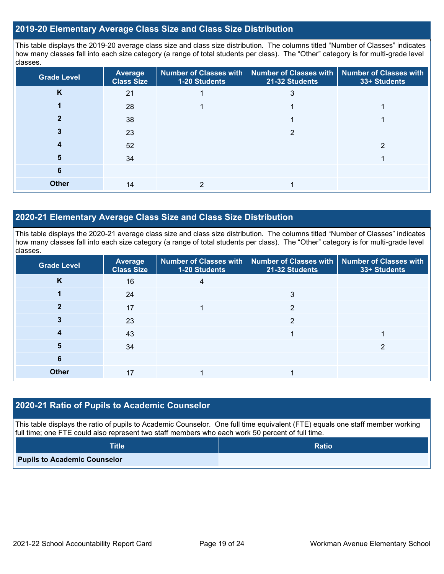### **2019-20 Elementary Average Class Size and Class Size Distribution**

This table displays the 2019-20 average class size and class size distribution. The columns titled "Number of Classes" indicates how many classes fall into each size category (a range of total students per class). The "Other" category is for multi-grade level classes.

| <b>Grade Level</b> | <b>Average</b><br><b>Class Size</b> | 1-20 Students | Number of Classes with   Number of Classes with   Number of Classes with<br>21-32 Students | 33+ Students |
|--------------------|-------------------------------------|---------------|--------------------------------------------------------------------------------------------|--------------|
| K                  | 21                                  |               | 3                                                                                          |              |
|                    | 28                                  |               |                                                                                            |              |
|                    | 38                                  |               |                                                                                            |              |
|                    | 23                                  |               | ≘                                                                                          |              |
|                    | 52                                  |               |                                                                                            |              |
| 5.                 | 34                                  |               |                                                                                            |              |
| 6                  |                                     |               |                                                                                            |              |
| <b>Other</b>       | 14                                  |               |                                                                                            |              |

### **2020-21 Elementary Average Class Size and Class Size Distribution**

This table displays the 2020-21 average class size and class size distribution. The columns titled "Number of Classes" indicates how many classes fall into each size category (a range of total students per class). The "Other" category is for multi-grade level classes.

| <b>Grade Level</b> | <b>Average</b><br><b>Class Size</b> | 1-20 Students | Number of Classes with   Number of Classes with   Number of Classes with<br>21-32 Students | 33+ Students |
|--------------------|-------------------------------------|---------------|--------------------------------------------------------------------------------------------|--------------|
| K                  | 16                                  | 4             |                                                                                            |              |
|                    | 24                                  |               | 3                                                                                          |              |
| 2                  | 17                                  |               | $\overline{2}$                                                                             |              |
|                    | 23                                  |               | っ                                                                                          |              |
|                    | 43                                  |               |                                                                                            |              |
| 5                  | 34                                  |               |                                                                                            | ≘            |
| 6                  |                                     |               |                                                                                            |              |
| <b>Other</b>       | 17                                  |               |                                                                                            |              |

### **2020-21 Ratio of Pupils to Academic Counselor**

This table displays the ratio of pupils to Academic Counselor. One full time equivalent (FTE) equals one staff member working full time; one FTE could also represent two staff members who each work 50 percent of full time.

| <b>Title</b>                        | <b>Ratio</b> |
|-------------------------------------|--------------|
| <b>Pupils to Academic Counselor</b> |              |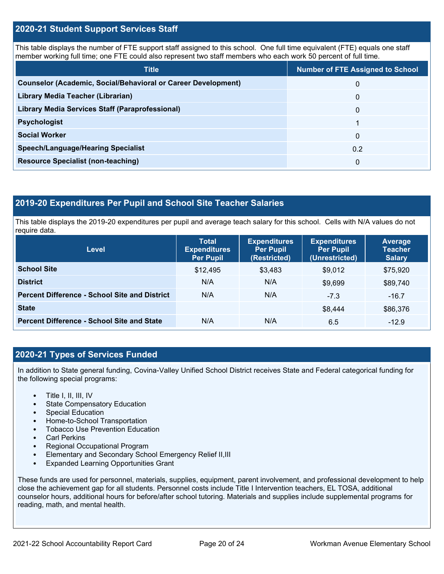### **2020-21 Student Support Services Staff**

This table displays the number of FTE support staff assigned to this school. One full time equivalent (FTE) equals one staff member working full time; one FTE could also represent two staff members who each work 50 percent of full time.

| <b>Title</b>                                                         | <b>Number of FTE Assigned to School</b> |
|----------------------------------------------------------------------|-----------------------------------------|
| <b>Counselor (Academic, Social/Behavioral or Career Development)</b> | 0                                       |
| Library Media Teacher (Librarian)                                    | 0                                       |
| Library Media Services Staff (Paraprofessional)                      | 0                                       |
| <b>Psychologist</b>                                                  |                                         |
| <b>Social Worker</b>                                                 | $\Omega$                                |
| <b>Speech/Language/Hearing Specialist</b>                            | 0.2                                     |
| <b>Resource Specialist (non-teaching)</b>                            | 0                                       |

### **2019-20 Expenditures Per Pupil and School Site Teacher Salaries**

This table displays the 2019-20 expenditures per pupil and average teach salary for this school. Cells with N/A values do not require data.

| Level                                                | <b>Total</b><br><b>Expenditures</b><br><b>Per Pupil</b> | <b>Expenditures</b><br><b>Per Pupil</b><br>(Restricted) | <b>Expenditures</b><br><b>Per Pupil</b><br>(Unrestricted) | <b>Average</b><br><b>Teacher</b><br><b>Salary</b> |
|------------------------------------------------------|---------------------------------------------------------|---------------------------------------------------------|-----------------------------------------------------------|---------------------------------------------------|
| <b>School Site</b>                                   | \$12,495                                                | \$3,483                                                 | \$9,012                                                   | \$75,920                                          |
| <b>District</b>                                      | N/A                                                     | N/A                                                     | \$9,699                                                   | \$89,740                                          |
| <b>Percent Difference - School Site and District</b> | N/A                                                     | N/A                                                     | $-7.3$                                                    | $-16.7$                                           |
| <b>State</b>                                         |                                                         |                                                         | \$8,444                                                   | \$86,376                                          |
| <b>Percent Difference - School Site and State</b>    | N/A                                                     | N/A                                                     | 6.5                                                       | $-12.9$                                           |

### **2020-21 Types of Services Funded**

In addition to State general funding, Covina-Valley Unified School District receives State and Federal categorical funding for the following special programs:

- Title I, II, III, IV
- State Compensatory Education
- Special Education
- Home-to-School Transportation
- Tobacco Use Prevention Education
- **Carl Perkins**
- Regional Occupational Program
- Elementary and Secondary School Emergency Relief II,III
- Expanded Learning Opportunities Grant

These funds are used for personnel, materials, supplies, equipment, parent involvement, and professional development to help close the achievement gap for all students. Personnel costs include Title I Intervention teachers, EL TOSA, additional counselor hours, additional hours for before/after school tutoring. Materials and supplies include supplemental programs for reading, math, and mental health.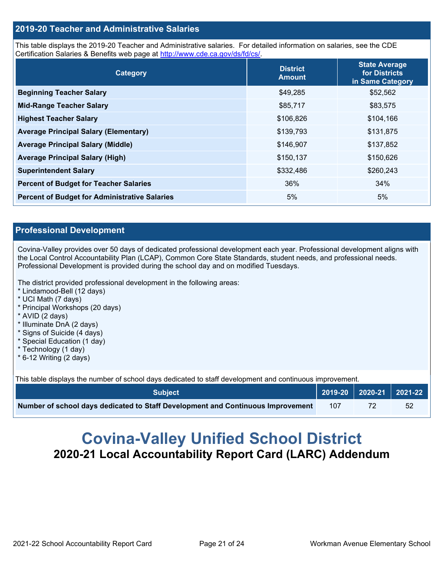### **2019-20 Teacher and Administrative Salaries**

This table displays the 2019-20 Teacher and Administrative salaries. For detailed information on salaries, see the CDE Certification Salaries & Benefits web page at [http://www.cde.ca.gov/ds/fd/cs/.](http://www.cde.ca.gov/ds/fd/cs/)

| <b>Category</b>                                      | <b>District</b><br><b>Amount</b> | <b>State Average</b><br>for Districts<br>in Same Category |
|------------------------------------------------------|----------------------------------|-----------------------------------------------------------|
| <b>Beginning Teacher Salary</b>                      | \$49,285                         | \$52,562                                                  |
| <b>Mid-Range Teacher Salary</b>                      | \$85,717                         | \$83,575                                                  |
| <b>Highest Teacher Salary</b>                        | \$106,826                        | \$104,166                                                 |
| <b>Average Principal Salary (Elementary)</b>         | \$139,793                        | \$131,875                                                 |
| <b>Average Principal Salary (Middle)</b>             | \$146,907                        | \$137,852                                                 |
| <b>Average Principal Salary (High)</b>               | \$150,137                        | \$150,626                                                 |
| <b>Superintendent Salary</b>                         | \$332,486                        | \$260,243                                                 |
| <b>Percent of Budget for Teacher Salaries</b>        | 36%                              | 34%                                                       |
| <b>Percent of Budget for Administrative Salaries</b> | 5%                               | 5%                                                        |

### **Professional Development**

Covina-Valley provides over 50 days of dedicated professional development each year. Professional development aligns with the Local Control Accountability Plan (LCAP), Common Core State Standards, student needs, and professional needs. Professional Development is provided during the school day and on modified Tuesdays.

The district provided professional development in the following areas:

- \* Lindamood-Bell (12 days)
- \* UCI Math (7 days)
- \* Principal Workshops (20 days)
- \* AVID (2 days)
- \* Illuminate DnA (2 days)
- \* Signs of Suicide (4 days)
- \* Special Education (1 day)
- \* Technology (1 day)
- $*$  6-12 Writing (2 days)

This table displays the number of school days dedicated to staff development and continuous improvement.

| <b>Subiect</b>                                                                  |     | $\sqrt{2019-20}$ 2020-21 2021-22 |
|---------------------------------------------------------------------------------|-----|----------------------------------|
| Number of school days dedicated to Staff Development and Continuous Improvement | 107 |                                  |

# **Covina-Valley Unified School District 2020-21 Local Accountability Report Card (LARC) Addendum**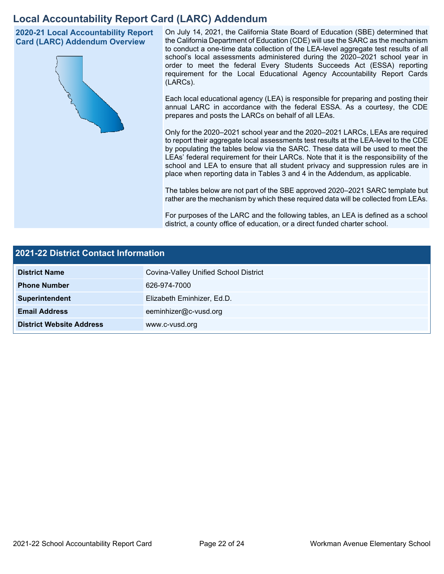# **Local Accountability Report Card (LARC) Addendum**

**2020-21 Local Accountability Report Card (LARC) Addendum Overview**



On July 14, 2021, the California State Board of Education (SBE) determined that the California Department of Education (CDE) will use the SARC as the mechanism to conduct a one-time data collection of the LEA-level aggregate test results of all school's local assessments administered during the 2020–2021 school year in order to meet the federal Every Students Succeeds Act (ESSA) reporting requirement for the Local Educational Agency Accountability Report Cards (LARCs).

Each local educational agency (LEA) is responsible for preparing and posting their annual LARC in accordance with the federal ESSA. As a courtesy, the CDE prepares and posts the LARCs on behalf of all LEAs.

Only for the 2020–2021 school year and the 2020–2021 LARCs, LEAs are required to report their aggregate local assessments test results at the LEA-level to the CDE by populating the tables below via the SARC. These data will be used to meet the LEAs' federal requirement for their LARCs. Note that it is the responsibility of the school and LEA to ensure that all student privacy and suppression rules are in place when reporting data in Tables 3 and 4 in the Addendum, as applicable.

The tables below are not part of the SBE approved 2020–2021 SARC template but rather are the mechanism by which these required data will be collected from LEAs.

For purposes of the LARC and the following tables, an LEA is defined as a school district, a county office of education, or a direct funded charter school.

| 2021-22 District Contact Information |                                       |  |  |  |
|--------------------------------------|---------------------------------------|--|--|--|
| <b>District Name</b>                 | Covina-Valley Unified School District |  |  |  |
| <b>Phone Number</b>                  | 626-974-7000                          |  |  |  |
| Superintendent                       | Elizabeth Eminhizer, Ed.D.            |  |  |  |
| <b>Email Address</b>                 | eeminhizer@c-vusd.org                 |  |  |  |
| <b>District Website Address</b>      | www.c-vusd.org                        |  |  |  |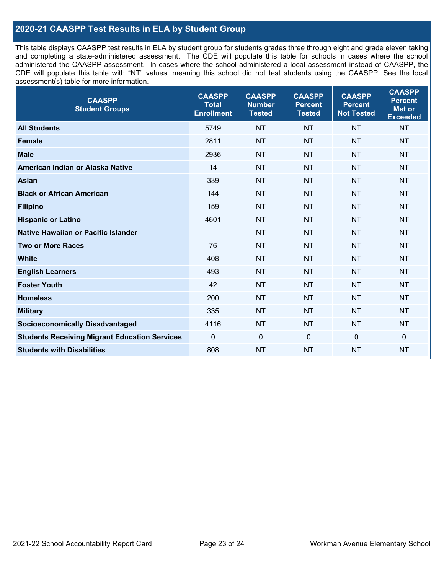## **2020-21 CAASPP Test Results in ELA by Student Group**

This table displays CAASPP test results in ELA by student group for students grades three through eight and grade eleven taking and completing a state-administered assessment. The CDE will populate this table for schools in cases where the school administered the CAASPP assessment. In cases where the school administered a local assessment instead of CAASPP, the CDE will populate this table with "NT" values, meaning this school did not test students using the CAASPP. See the local assessment(s) table for more information.

| <b>CAASPP</b><br><b>Student Groups</b>               | <b>CAASPP</b><br><b>Total</b><br><b>Enrollment</b> | <b>CAASPP</b><br><b>Number</b><br><b>Tested</b> | <b>CAASPP</b><br><b>Percent</b><br><b>Tested</b> | <b>CAASPP</b><br><b>Percent</b><br><b>Not Tested</b> | <b>CAASPP</b><br><b>Percent</b><br>Met or<br><b>Exceeded</b> |
|------------------------------------------------------|----------------------------------------------------|-------------------------------------------------|--------------------------------------------------|------------------------------------------------------|--------------------------------------------------------------|
| <b>All Students</b>                                  | 5749                                               | <b>NT</b>                                       | <b>NT</b>                                        | <b>NT</b>                                            | <b>NT</b>                                                    |
| <b>Female</b>                                        | 2811                                               | <b>NT</b>                                       | <b>NT</b>                                        | <b>NT</b>                                            | <b>NT</b>                                                    |
| <b>Male</b>                                          | 2936                                               | <b>NT</b>                                       | <b>NT</b>                                        | <b>NT</b>                                            | <b>NT</b>                                                    |
| American Indian or Alaska Native                     | 14                                                 | <b>NT</b>                                       | <b>NT</b>                                        | <b>NT</b>                                            | <b>NT</b>                                                    |
| <b>Asian</b>                                         | 339                                                | <b>NT</b>                                       | <b>NT</b>                                        | <b>NT</b>                                            | <b>NT</b>                                                    |
| <b>Black or African American</b>                     | 144                                                | <b>NT</b>                                       | <b>NT</b>                                        | <b>NT</b>                                            | NT                                                           |
| <b>Filipino</b>                                      | 159                                                | <b>NT</b>                                       | <b>NT</b>                                        | <b>NT</b>                                            | <b>NT</b>                                                    |
| <b>Hispanic or Latino</b>                            | 4601                                               | <b>NT</b>                                       | <b>NT</b>                                        | <b>NT</b>                                            | <b>NT</b>                                                    |
| <b>Native Hawaiian or Pacific Islander</b>           | --                                                 | <b>NT</b>                                       | <b>NT</b>                                        | <b>NT</b>                                            | <b>NT</b>                                                    |
| <b>Two or More Races</b>                             | 76                                                 | <b>NT</b>                                       | <b>NT</b>                                        | <b>NT</b>                                            | <b>NT</b>                                                    |
| <b>White</b>                                         | 408                                                | <b>NT</b>                                       | <b>NT</b>                                        | <b>NT</b>                                            | <b>NT</b>                                                    |
| <b>English Learners</b>                              | 493                                                | <b>NT</b>                                       | <b>NT</b>                                        | <b>NT</b>                                            | <b>NT</b>                                                    |
| <b>Foster Youth</b>                                  | 42                                                 | <b>NT</b>                                       | <b>NT</b>                                        | <b>NT</b>                                            | <b>NT</b>                                                    |
| <b>Homeless</b>                                      | 200                                                | <b>NT</b>                                       | <b>NT</b>                                        | <b>NT</b>                                            | <b>NT</b>                                                    |
| <b>Military</b>                                      | 335                                                | <b>NT</b>                                       | <b>NT</b>                                        | <b>NT</b>                                            | <b>NT</b>                                                    |
| <b>Socioeconomically Disadvantaged</b>               | 4116                                               | <b>NT</b>                                       | <b>NT</b>                                        | <b>NT</b>                                            | <b>NT</b>                                                    |
| <b>Students Receiving Migrant Education Services</b> | $\Omega$                                           | $\mathbf 0$                                     | $\mathbf 0$                                      | $\Omega$                                             | 0                                                            |
| <b>Students with Disabilities</b>                    | 808                                                | <b>NT</b>                                       | <b>NT</b>                                        | <b>NT</b>                                            | <b>NT</b>                                                    |